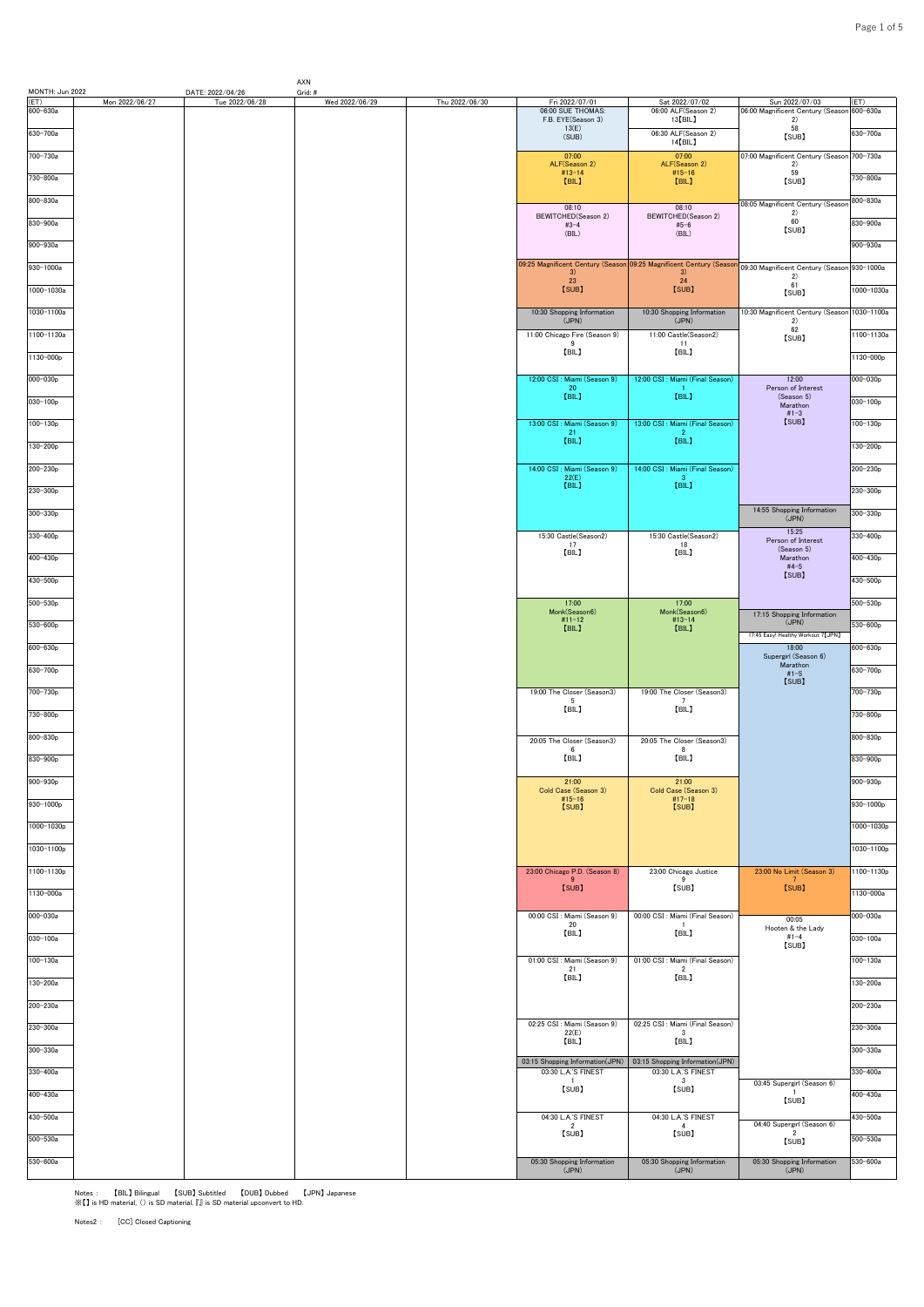| MONTH: Jun 2022 |                | DATE: 2022/04/26 | AXN<br>Grid: # |                |                                                        |                                                                                                       |                                                       |                  |
|-----------------|----------------|------------------|----------------|----------------|--------------------------------------------------------|-------------------------------------------------------------------------------------------------------|-------------------------------------------------------|------------------|
| ET)<br>600-630a | Mon 2022/06/27 | Tue 2022/06/28   | Wed 2022/06/29 | Thu 2022/06/30 | Fri 2022/07/01<br>06:00 SUE THOMAS:                    | Sat 2022/07/02<br>06:00 ALF(Season 2)                                                                 | Sun 2022/07/03<br>06:00 Magnificent Century (Seasor   | (ET)<br>600-630a |
| 630-700a        |                |                  |                |                | F.B. EYE(Season 3)<br>13(E)<br>(SUB)                   | $13$ [BIL]<br>06:30 ALF(Season 2)                                                                     | 2)<br>58<br>[SUB]                                     | 630-700a         |
| 700-730a        |                |                  |                |                | 07:00                                                  | 14 [BIL]<br>07:00                                                                                     | 07:00 Magnificent Century (Seasor                     | 700-730a         |
| 730-800a        |                |                  |                |                | ALF(Season 2)<br>$#13 - 14$<br>[BIL]                   | ALF(Season 2)<br>$#15 - 16$<br>[BIL]                                                                  | 2)<br>59<br>[SUB]                                     | 730-800a         |
| 800-830a        |                |                  |                |                |                                                        |                                                                                                       |                                                       | 800-830a         |
| 830-900a        |                |                  |                |                | 08:10<br>BEWITCHED(Season 2)<br>$#3 - 4$               | 08:10<br>BEWITCHED(Season 2)                                                                          | 08:05 Magnificent Century (Seasor<br>2)<br>60         | 830-900a         |
| 900-930a        |                |                  |                |                | (BIL)                                                  | $#5 - 6$<br>(BIL)                                                                                     | [SUB]                                                 | 900-930a         |
| 930-1000a       |                |                  |                |                |                                                        | 09:25 Magnificent Century (Season 09:25 Magnificent Century (Season 09:30 Magnificent Century (Seasor |                                                       | 930-1000a        |
|                 |                |                  |                |                | 3)<br>23                                               | 3)<br>24                                                                                              | 2)<br>61                                              |                  |
| 1000-1030a      |                |                  |                |                | [SUB]                                                  | [SUB]                                                                                                 | [SUB]                                                 | 1000-1030a       |
| 1030-1100a      |                |                  |                |                | 10:30 Shopping Information<br>(JPN)                    | 10:30 Shopping Information<br>(JPN)                                                                   | 10:30 Magnificent Century (Seasor<br>2)<br>62         | 1030-1100a       |
| 1100-1130a      |                |                  |                |                | 11:00 Chicago Fire (Season 9)<br>9<br>[BIL]            | 11:00 Castle(Season2)<br>11<br>[BIL]                                                                  | [SUB]                                                 | 1100-1130a       |
| 1130-000p       |                |                  |                |                |                                                        |                                                                                                       |                                                       | 1130-000p        |
| 000-030p        |                |                  |                |                | 12:00 CSI : Miami (Season 9)<br>$^{20}_{[BIL]}$        | 12:00 CSI : Miami (Final Season)<br>[BIL]                                                             | 12:00<br>Person of Interest<br>(Season 5)             | 000-030p         |
| 030-100p        |                |                  |                |                |                                                        |                                                                                                       | Marathon<br>$#1 - 3$                                  | 030-100p         |
| $100 - 130p$    |                |                  |                |                | 13:00 CSI : Miami (Season 9)<br>21<br>[BIL]            | 13:00 CSI : Miami (Final Season)<br>$\overline{2}$<br>[BIL]                                           | [SUB]                                                 | 100-130p         |
| 130-200p        |                |                  |                |                |                                                        |                                                                                                       |                                                       | 130-200p         |
| 200-230p        |                |                  |                |                | 14:00 CSI : Miami (Season 9)<br>22(E)<br>[BIL]         | 14:00 CSI : Miami (Final Season)<br>-3<br>[BIL]                                                       |                                                       | 200-230p         |
| 230-300p        |                |                  |                |                |                                                        |                                                                                                       |                                                       | 230-300p         |
| 300-330p        |                |                  |                |                |                                                        |                                                                                                       | 14:55 Shopping Information<br>(JPN)                   | 300-330p         |
| 330-400p        |                |                  |                |                | 15:30 Castle(Season2)<br>17                            | 15:30 Castle(Season2)<br>18                                                                           | 15:25<br>Person of Interest<br>(Season 5)             | 330-400p         |
| 400-430p        |                |                  |                |                | [BIL]                                                  | [BIL]                                                                                                 | Marathon<br>$#4-5$                                    | 400-430p         |
| 430-500p        |                |                  |                |                |                                                        |                                                                                                       | [SUB]                                                 | 430-500p         |
| 500-530p        |                |                  |                |                | 17:00<br>Monk(Season6)                                 | 17:00<br>Monk(Season6)                                                                                | 17:15 Shopping Information                            | 500-530p         |
| 530-600p        |                |                  |                |                | $#11 - 12$<br>[BIL]                                    | $#13 - 14$<br>[BIL]                                                                                   | (JPN)<br>17:45 Easy! Healthy Workout 7 [JPN]          | $530 - 600p$     |
| 600-630p        |                |                  |                |                |                                                        |                                                                                                       | 18:00<br>Supergirl (Season 6)                         | 600-630p         |
| 630-700p        |                |                  |                |                |                                                        |                                                                                                       | Marathon<br>$#1 - 5$<br>[SUB]                         | 630-700p         |
| 700-730p        |                |                  |                |                | 19:00 The Closer (Season3)<br>5                        | 19:00 The Closer (Season3)<br>$\overline{7}$                                                          |                                                       | 700-730p         |
| 730-800p        |                |                  |                |                | [BIL]                                                  | [BIL]                                                                                                 |                                                       | 730-800p         |
| 800-830p        |                |                  |                |                | 20:05 The Closer (Season3)<br>6                        | 20:05 The Closer (Season3)<br>- 8                                                                     |                                                       | 800-830p         |
| 830-900p        |                |                  |                |                | [BIL]                                                  | [BIL]                                                                                                 |                                                       | 830-900p         |
| 900-930p        |                |                  |                |                | 21:00<br>Cold Case (Season 3)                          | 21:00<br>Cold Case (Season 3)                                                                         |                                                       | 900-930p         |
| 930-1000p       |                |                  |                |                | $#15 - 16$<br>[SUB]                                    | $#17-18$<br>[SUB]                                                                                     |                                                       | 930-1000p        |
| 1000-1030p      |                |                  |                |                |                                                        |                                                                                                       |                                                       | 1000-1030p       |
| 1030-1100p      |                |                  |                |                |                                                        |                                                                                                       |                                                       | 1030-1100p       |
| 1100-1130p      |                |                  |                |                | 23:00 Chicago P.D. (Season 8)<br>-9                    | 23:00 Chicago Justice<br>- 9                                                                          | 23:00 No Limit (Season 3)                             | 1100-1130p       |
| 1130-000a       |                |                  |                |                | [SUB]                                                  | [SUB]                                                                                                 | $\frac{7}{5}$                                         | 1130-000a        |
| 000-030a        |                |                  |                |                | 00:00 CSI : Miami (Season 9)<br>20                     | 00:00 CSI : Miami (Final Season)                                                                      | 00:05                                                 | 000-030a         |
| $030 - 100a$    |                |                  |                |                | [BIL]                                                  | [BIL]                                                                                                 | Hooten & the Lady<br>#1-4<br>[SUB]                    | 030-100a         |
| 100-130a        |                |                  |                |                | 01:00 CSI : Miami (Season 9)<br>21                     | 01:00 CSI : Miami (Final Season)<br>$\overline{2}$                                                    |                                                       | 100-130a         |
| 130-200a        |                |                  |                |                | [BIL]                                                  | [BIL]                                                                                                 |                                                       | 130-200a         |
| 200-230a        |                |                  |                |                |                                                        |                                                                                                       |                                                       | 200-230a         |
| 230-300a        |                |                  |                |                | 02:25 CSI : Miami (Season 9)<br>22(E)                  | 02:25 CSI : Miami (Final Season)<br>$\overline{\mathbf{3}}$                                           |                                                       | 230-300a         |
| 300-330a        |                |                  |                |                | [BIL]                                                  | 【BIL】                                                                                                 |                                                       | 300-330a         |
| 330-400a        |                |                  |                |                | 03:15 Shopping Information(JPN)<br>03:30 L.A.'S FINEST | 03:15 Shopping Information(JPN)<br>03:30 L.A.'S FINEST                                                |                                                       | 330-400a         |
| 400-430a        |                |                  |                |                | $\overline{1}$<br>[SUB]                                | $\overline{\mathbf{3}}$<br>[SUB]                                                                      | 03:45 Supergirl (Season 6)                            | 400-430a         |
| 430-500a        |                |                  |                |                | 04:30 L.A.'S FINEST                                    | 04:30 L.A.'S FINEST                                                                                   | [SUB]                                                 | 430-500a         |
| 500-530a        |                |                  |                |                | $\overline{2}$<br>[SUB]                                | $\overline{4}$<br>[SUB]                                                                               | 04:40 Supergirl (Season 6)<br>$\overline{2}$<br>[SUB] | 500-530a         |
| 530-600a        |                |                  |                |                | 05:30 Shopping Information                             | 05:30 Shopping Information                                                                            | 05:30 Shopping Information                            | 530-600a         |
|                 |                |                  |                |                | (JPN)                                                  | (JPN)                                                                                                 | (JPN)                                                 |                  |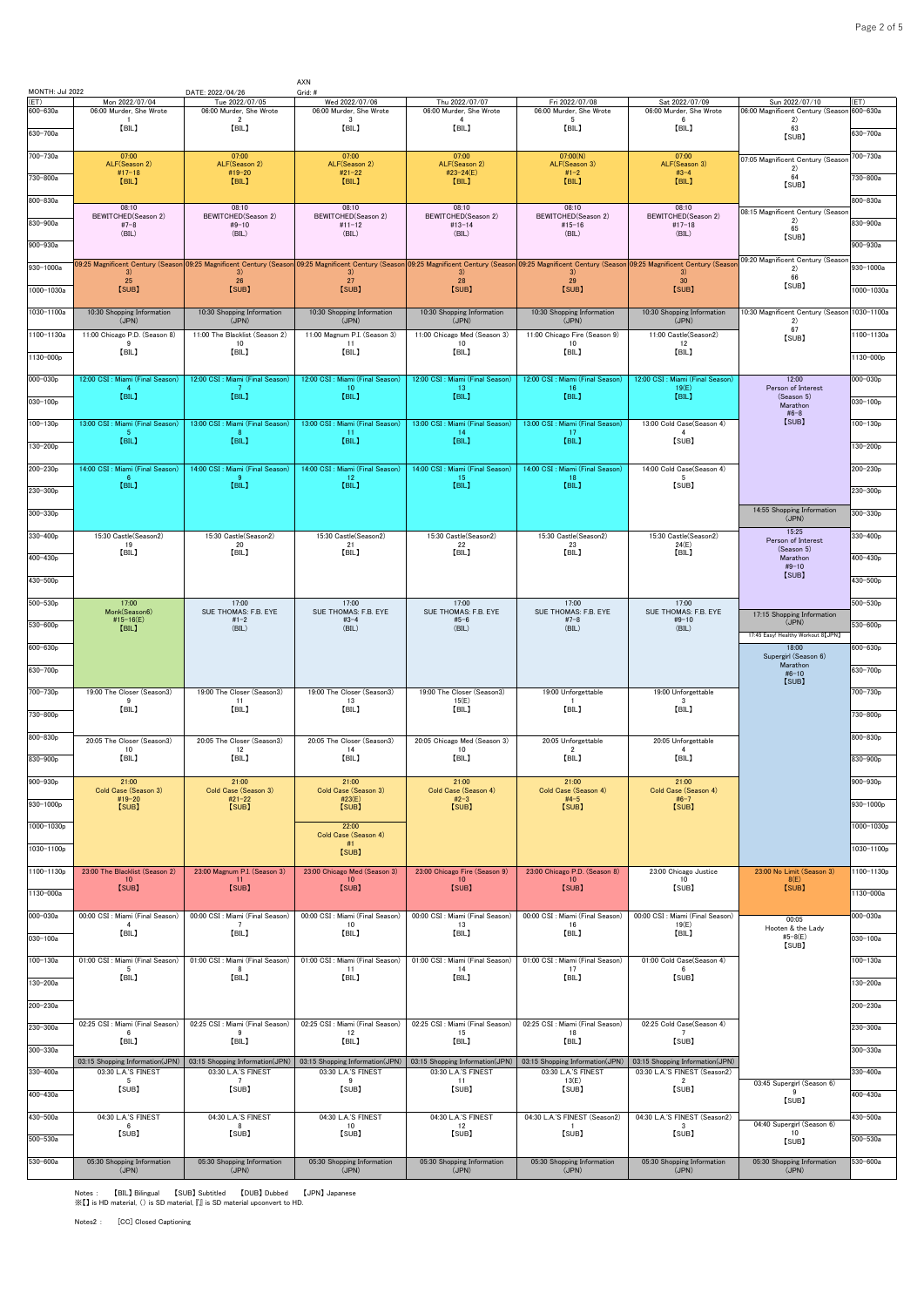| MONTH: Jul 2022      |                                                        | DATE: 2022/04/26                                       | AXN<br>Grid: #                                         |                                                        |                                                                                                                                                                                                                               |                                                                  |                                                        |                          |
|----------------------|--------------------------------------------------------|--------------------------------------------------------|--------------------------------------------------------|--------------------------------------------------------|-------------------------------------------------------------------------------------------------------------------------------------------------------------------------------------------------------------------------------|------------------------------------------------------------------|--------------------------------------------------------|--------------------------|
| (ET)                 | Mon 2022/07/04                                         | Tue 2022/07/05                                         | Wed 2022/07/06                                         | Thu 2022/07/07                                         | Fri 2022/07/08                                                                                                                                                                                                                | Sat 2022/07/09                                                   | Sun 2022/07/10                                         | (ET)                     |
| 600-630a<br>630-700a | 06:00 Murder, She Wrote<br>[BIL]                       | 06:00 Murder, She Wrote<br>$\overline{2}$<br>[BIL]     | 06:00 Murder, She Wrote<br>3<br>[BIL]                  | 06:00 Murder, She Wrote<br>[BIL]                       | 06:00 Murder, She Wrote<br>5<br>[BIL]                                                                                                                                                                                         | 06:00 Murder, She Wrote<br>6<br>[BIL]                            | 06:00 Magnificent Century (Seasor<br>2)<br>63<br>[SUB] | $600 - 630a$<br>630-700a |
| 700-730a             | 07:00                                                  | 07:00                                                  | 07:00                                                  | 07:00                                                  | 07:00(N)                                                                                                                                                                                                                      | 07:00                                                            | 07:05 Magnificent Century (Seasor                      | 700-730a                 |
| 730-800a             | ALF(Season 2)<br>$#17-18$                              | ALF(Season 2)<br>#19-20                                | ALF(Season 2)<br>$#21 - 22$                            | ALF(Season 2)<br>#23-24(E)                             | ALF(Season 3)<br>$#1 - 2$                                                                                                                                                                                                     | ALF(Season 3)<br>$#3 - 4$                                        | 2)<br>64                                               | 730-800a                 |
|                      | [BIL]                                                  | [BIL]                                                  | [BIL]                                                  | [BIL]                                                  | [BIL]                                                                                                                                                                                                                         | [BIL]                                                            | [SUB]                                                  |                          |
| 800-830a             | 08:10                                                  | 08:10                                                  | 08:10                                                  | 08:10                                                  | 08:10                                                                                                                                                                                                                         | 08:10                                                            | 08:15 Magnificent Century (Seasor                      | 800-830a                 |
| 830-900a             | BEWITCHED(Season 2)<br>$#7-8$<br>(BIL)                 | BEWITCHED(Season 2)<br>$#9-10$<br>(BIL)                | BEWITCHED(Season 2)<br>$#11 - 12$<br>(BIL)             | BEWITCHED(Season 2)<br>$#13 - 14$<br>(BIL)             | BEWITCHED(Season 2)<br>$#15 - 16$<br>(BIL)                                                                                                                                                                                    | BEWITCHED(Season 2)<br>$#17-18$<br>(BIL)                         | 2)<br>65                                               | 830-900a                 |
| 900-930a             |                                                        |                                                        |                                                        |                                                        |                                                                                                                                                                                                                               |                                                                  | [SUB]                                                  | $900 - 930a$             |
| 930-1000a            |                                                        |                                                        |                                                        |                                                        | 09:25 Magnificent Century (Season 09:25 Magnificent Century (Season 09:25 Magnificent Century (Season 09:25 Magnificent Century (Season 09:25 Magnificent Century (Season 09:25 Magnificent Century (Season 09:25 Magnificent |                                                                  | 09:20 Magnificent Century (Seasor<br>2)                | 930-1000a                |
| 1000-1030a           | 3)<br>25<br>[SUB]                                      | 3)<br>26<br>[SUB]                                      | 3)<br>27<br>[SUB]                                      | 3)<br>28<br>[SUB]                                      | 3)<br>29<br>[SUB]                                                                                                                                                                                                             | 3)<br>30<br>[SUB]                                                | 66<br>[SUB]                                            | 1000-1030a               |
|                      |                                                        |                                                        |                                                        |                                                        |                                                                                                                                                                                                                               |                                                                  |                                                        |                          |
| 1030-1100a           | 10:30 Shopping Information<br>(JPN)                    | 10:30 Shopping Information<br>(JPN)                    | 10:30 Shopping Information<br>(JPN)                    | 10:30 Shopping Information<br>(JPN)                    | 10:30 Shopping Information<br>(JPN)                                                                                                                                                                                           | 10:30 Shopping Information<br>(JPN)                              | 10:30 Magnificent Century (Seasor<br>2)                | 1030-1100a               |
| 1100-1130a           | 11:00 Chicago P.D. (Season 8)<br>9                     | 11:00 The Blacklist (Season 2)<br>10                   | 11:00 Magnum P.I. (Season 3)<br>11                     | 11:00 Chicago Med (Season 3)<br>10                     | 11:00 Chicago Fire (Season 9)<br>10                                                                                                                                                                                           | 11:00 Castle(Season2)<br>12                                      | 67<br>[SUB]                                            | 1100-1130a               |
| 1130-000p            | [BIL]                                                  | [BIL]                                                  | [BIL]                                                  | [BIL]                                                  | [BIL]                                                                                                                                                                                                                         | [BIL]                                                            |                                                        | 1130-000p                |
| $000 - 030p$         | 12:00 CSI : Miami (Final Season)                       | 12:00 CSI : Miami (Final Season)                       | 12:00 CSI : Miami (Final Season)                       | 12:00 CSI : Miami (Final Season)                       | 12:00 CSI : Miami (Final Season)                                                                                                                                                                                              | 12:00 CSI : Miami (Final Season)                                 | 12:00                                                  | 000-030p                 |
| $030 - 100p$         | -4<br>[BIL]                                            | - 7<br>[BIL]                                           | 10 <sup>10</sup><br>[BIL]                              | -13<br>[BIL]                                           | 16<br>[BIL]                                                                                                                                                                                                                   | 19(E)<br>[BIL]                                                   | Person of Interest<br>(Season 5)                       | $030 - 100p$             |
|                      |                                                        |                                                        |                                                        |                                                        |                                                                                                                                                                                                                               |                                                                  | Marathon<br>$#6 - 8$<br>[SUB]                          |                          |
| $100 - 130p$         | 13:00 CSI : Miami (Final Season)<br>-5<br>[BIL]        | 13:00 CSI : Miami (Final Season)<br>-8<br>[BIL]        | 13:00 CSI : Miami (Final Season)<br>-11<br>[BIL]       | 13:00 CSI : Miami (Final Season)<br>-14<br>[BIL]       | 13:00 CSI : Miami (Final Season)<br>-17<br>[BIL]                                                                                                                                                                              | 13:00 Cold Case(Season 4)<br>4<br>[SUB]                          |                                                        | $100 - 130p$             |
| 130-200p             |                                                        |                                                        |                                                        |                                                        |                                                                                                                                                                                                                               |                                                                  |                                                        | $130 - 200p$             |
| $200 - 230p$         | 14:00 CSI : Miami (Final Season)<br>-6                 | 14:00 CSI : Miami (Final Season)<br>-9                 | 14:00 CSI : Miami (Final Season)<br>12                 | 14:00 CSI : Miami (Final Season)<br>15                 | 14:00 CSI : Miami (Final Season)<br>18                                                                                                                                                                                        | 14:00 Cold Case(Season 4)<br>5                                   |                                                        | $200 - 230p$             |
| 230-300p             | [BIL]                                                  | [BIL]                                                  | [BIL]                                                  | [BIL]                                                  | [BIL]                                                                                                                                                                                                                         | [SUB]                                                            |                                                        | 230-300p                 |
| 300-330p             |                                                        |                                                        |                                                        |                                                        |                                                                                                                                                                                                                               |                                                                  | 14:55 Shopping Information<br>(JPN)                    | $300 - 330p$             |
| 330-400p             | 15:30 Castle(Season2)                                  | 15:30 Castle(Season2)                                  | 15:30 Castle(Season2)                                  | 15:30 Castle(Season2)                                  | 15:30 Castle(Season2)                                                                                                                                                                                                         | 15:30 Castle(Season2)                                            | 15:25                                                  | 330-400p                 |
|                      | 19<br>[BIL]                                            | 20<br>[BIL]                                            | 21<br>[BIL]                                            | 22<br>[BIL]                                            | 23<br>[BIL]                                                                                                                                                                                                                   | 24(E)<br>[BIL]                                                   | Person of Interest<br>(Season 5)                       |                          |
| 400-430p             |                                                        |                                                        |                                                        |                                                        |                                                                                                                                                                                                                               |                                                                  | Marathon<br>$#9-10$<br>[SUB]                           | 400-430p                 |
| 430-500p             |                                                        |                                                        |                                                        |                                                        |                                                                                                                                                                                                                               |                                                                  |                                                        | 430-500p                 |
| 500-530p             | 17:00<br>Monk(Season6)                                 | 17:00<br>SUE THOMAS: F.B. EYE                          | 17:00<br>SUE THOMAS: F.B. EYE                          | 17:00<br>SUE THOMAS: F.B. EYE                          | 17:00<br>SUE THOMAS: F.B. EYE                                                                                                                                                                                                 | 17:00<br>SUE THOMAS: F.B. EYE                                    | 17:15 Shopping Information                             | 500-530p                 |
| $530 - 600p$         | #15-16(E)<br>[BIL]                                     | $#1 - 2$<br>(BIL)                                      | $#3 - 4$<br>(BIL)                                      | $#5 - 6$<br>(BIL)                                      | $#7-8$<br>(BIL)                                                                                                                                                                                                               | $#9 - 10$<br>(BIL)                                               | (JPN)                                                  | $530 - 600p$             |
| 600-630p             |                                                        |                                                        |                                                        |                                                        |                                                                                                                                                                                                                               |                                                                  | 17:45 Easy! Healthy Workout 8 [JPN]<br>18:00           | 600-630p                 |
| 630-700p             |                                                        |                                                        |                                                        |                                                        |                                                                                                                                                                                                                               |                                                                  | Supergirl (Season 6)<br>Marathon                       | 630-700p                 |
|                      |                                                        |                                                        |                                                        |                                                        |                                                                                                                                                                                                                               |                                                                  | $#6 - 10$<br>[SUB]                                     |                          |
| 700-730p             | 19:00 The Closer (Season3)<br>-9<br>[BIL]              | 19:00 The Closer (Season3)<br>-11<br>[BIL]             | 19:00 The Closer (Season3)<br>13<br>[BIL]              | 19:00 The Closer (Season3)<br>15(E)<br>[BIL]           | 19:00 Unforgettable<br>[BIL]                                                                                                                                                                                                  | 19:00 Unforgettable<br>3<br>[BIL]                                |                                                        | 700-730p                 |
| 730-800p             |                                                        |                                                        |                                                        |                                                        |                                                                                                                                                                                                                               |                                                                  |                                                        | 730-800p                 |
| 800-830p             | 20:05 The Closer (Season3)                             | 20:05 The Closer (Season3)                             | 20:05 The Closer (Season3)                             | 20:05 Chicago Med (Season 3)                           | 20:05 Unforgettable                                                                                                                                                                                                           | 20:05 Unforgettable<br>$\mathbf{A}$                              |                                                        | $800 - 830p$             |
| 830-900p             | 10<br>[BIL]                                            | 12<br>[BIL]                                            | 14<br>[BIL]                                            | 10<br>[BIL]                                            | $\overline{2}$<br>[BIL]                                                                                                                                                                                                       | [BIL]                                                            |                                                        | 830-900p                 |
| 900-930p             | 21:00                                                  | 21:00                                                  | 21:00                                                  | 21:00                                                  | 21:00                                                                                                                                                                                                                         | 21:00                                                            |                                                        | $900 - 930p$             |
| 930-1000p            | Cold Case (Season 3)<br>#19-20                         | Cold Case (Season 3)<br>$#21 - 22$                     | Cold Case (Season 3)<br>#23(E)                         | Cold Case (Season 4)<br>$#2-3$                         | Cold Case (Season 4)<br>$#4-5$                                                                                                                                                                                                | Cold Case (Season 4)<br>$#6-7$                                   |                                                        | $930 - 1000p$            |
|                      | [SUB]                                                  | [SUB]                                                  | [SUB]                                                  | [SUB]                                                  | [SUB]                                                                                                                                                                                                                         | [SUB]                                                            |                                                        |                          |
| 1000-1030p           |                                                        |                                                        | 22:00<br>Cold Case (Season 4)<br>#1                    |                                                        |                                                                                                                                                                                                                               |                                                                  |                                                        | 1000-1030p               |
| 1030-1100p           |                                                        |                                                        | [SUB]                                                  |                                                        |                                                                                                                                                                                                                               |                                                                  |                                                        | 1030-1100p               |
| 1100-1130p           | 23:00 The Blacklist (Season 2)<br>10 <sup>10</sup>     | 23:00 Magnum P.I. (Season 3)<br>11                     | 23:00 Chicago Med (Season 3)<br>10 <sup>1</sup>        | 23:00 Chicago Fire (Season 9)<br>10                    | 23:00 Chicago P.D. (Season 8)<br>10                                                                                                                                                                                           | 23:00 Chicago Justice<br>10                                      | 23:00 No Limit (Season 3)<br>8(E)                      | 1100-1130p               |
| 1130-000a            | [SUB]                                                  | [SUB]                                                  | [SUB]                                                  | [SUB]                                                  | [SUB]                                                                                                                                                                                                                         | [SUB]                                                            | [SUB]                                                  | 1130-000a                |
| 000-030a             | 00:00 CSI : Miami (Final Season)                       | 00:00 CSI : Miami (Final Season)                       | 00:00 CSI : Miami (Final Season)                       | 00:00 CSI : Miami (Final Season)                       | 00:00 CSI : Miami (Final Season)                                                                                                                                                                                              | 00:00 CSI : Miami (Final Season)                                 | 00:05                                                  | 00-030a                  |
| $030 - 100a$         | [BIL]                                                  | [BIL]                                                  | 10<br>[BIL]                                            | 13<br>[BIL]                                            | 16<br>[BIL]                                                                                                                                                                                                                   | 19(E)<br>[BIL]                                                   | Hooten & the Lady<br>$#5-8(E)$                         | 030-100a                 |
|                      |                                                        | 01:00 CSI : Miami (Final Season)                       | 01:00 CSI : Miami (Final Season)                       | 01:00 CSI : Miami (Final Season)                       |                                                                                                                                                                                                                               |                                                                  | [SUB]                                                  | $100 - 130a$             |
| $100 - 130a$         | 01:00 CSI : Miami (Final Season)<br>5<br>[BIL]         | 8<br>【BIL】                                             | 11<br>[BIL]                                            | 14<br>[BIL]                                            | 01:00 CSI : Miami (Final Season)<br>17<br>[BIL]                                                                                                                                                                               | 01:00 Cold Case(Season 4)<br>6<br>[SUB]                          |                                                        |                          |
| 130-200a             |                                                        |                                                        |                                                        |                                                        |                                                                                                                                                                                                                               |                                                                  |                                                        | 130-200a                 |
| $200 - 230a$         |                                                        |                                                        |                                                        |                                                        |                                                                                                                                                                                                                               |                                                                  |                                                        | $200 - 230a$             |
| 230-300a             | 02:25 CSI : Miami (Final Season)<br>6                  | 02:25 CSI : Miami (Final Season)<br>9                  | 02:25 CSI : Miami (Final Season)<br>12                 | 02:25 CSI : Miami (Final Season)<br>15                 | 02:25 CSI : Miami (Final Season)<br>18                                                                                                                                                                                        | 02:25 Cold Case(Season 4)<br>$\overline{7}$                      |                                                        | 230-300a                 |
| 300-330a             | 【BIL】                                                  | 【BIL】                                                  | 【BIL】                                                  | [BIL]                                                  | [BIL]                                                                                                                                                                                                                         | [SUB]                                                            |                                                        | 300-330a                 |
| 330-400a             | 03:15 Shopping Information(JPN)<br>03:30 L.A.'S FINEST | 03:15 Shopping Information(JPN)<br>03:30 L.A.'S FINEST | 03:15 Shopping Information(JPN)<br>03:30 L.A.'S FINES" | 03:15 Shopping Information(JPN)<br>03:30 L.A.'S FINEST | 03:15 Shopping Information(JPN)<br>03:30 L.A.'S FINEST                                                                                                                                                                        | 03:15 Shopping Information(JPN)<br>03:30 L.A.'S FINEST (Season2) |                                                        | 330-400a                 |
| 400-430a             | 5 <sub>5</sub><br>[SUB]                                | 7<br>[SUB]                                             | 9<br>[SUB]                                             | 11<br>[SUB]                                            | 13(E)<br>[SUB]                                                                                                                                                                                                                | $\overline{2}$<br>[SUB]                                          | 03:45 Supergirl (Season 6)<br>9                        | 400-430a                 |
|                      |                                                        |                                                        |                                                        |                                                        |                                                                                                                                                                                                                               |                                                                  | [SUB]                                                  |                          |
| 430-500a             | 04:30 L.A.'S FINEST<br>6<br>[SUB]                      | 04:30 L.A.'S FINEST<br>- 8<br>[SUB]                    | 04:30 L.A.'S FINEST<br>10<br>[SUB]                     | 04:30 L.A.'S FINEST<br>12<br>[SUB]                     | 04:30 L.A.'S FINEST (Season2)<br>-1<br>[SUB]                                                                                                                                                                                  | 04:30 L.A.'S FINEST (Season2)<br>$_{3}$<br>[SUB]                 | 04:40 Supergirl (Season 6)<br>10                       | 430-500a                 |
| $500 - 530a$         |                                                        |                                                        |                                                        |                                                        |                                                                                                                                                                                                                               |                                                                  | [SUB]                                                  | $500 - 530a$             |
| 530-600a             | 05:30 Shopping Information<br>(JPN)                    | 05:30 Shopping Information<br>(JPN)                    | 05:30 Shopping Information<br>(JPN)                    | 05:30 Shopping Information<br>(JPN)                    | 05:30 Shopping Information<br>(JPN)                                                                                                                                                                                           | 05:30 Shopping Information<br>(JPN)                              | 05:30 Shopping Information<br>(JPN)                    | 530-600a                 |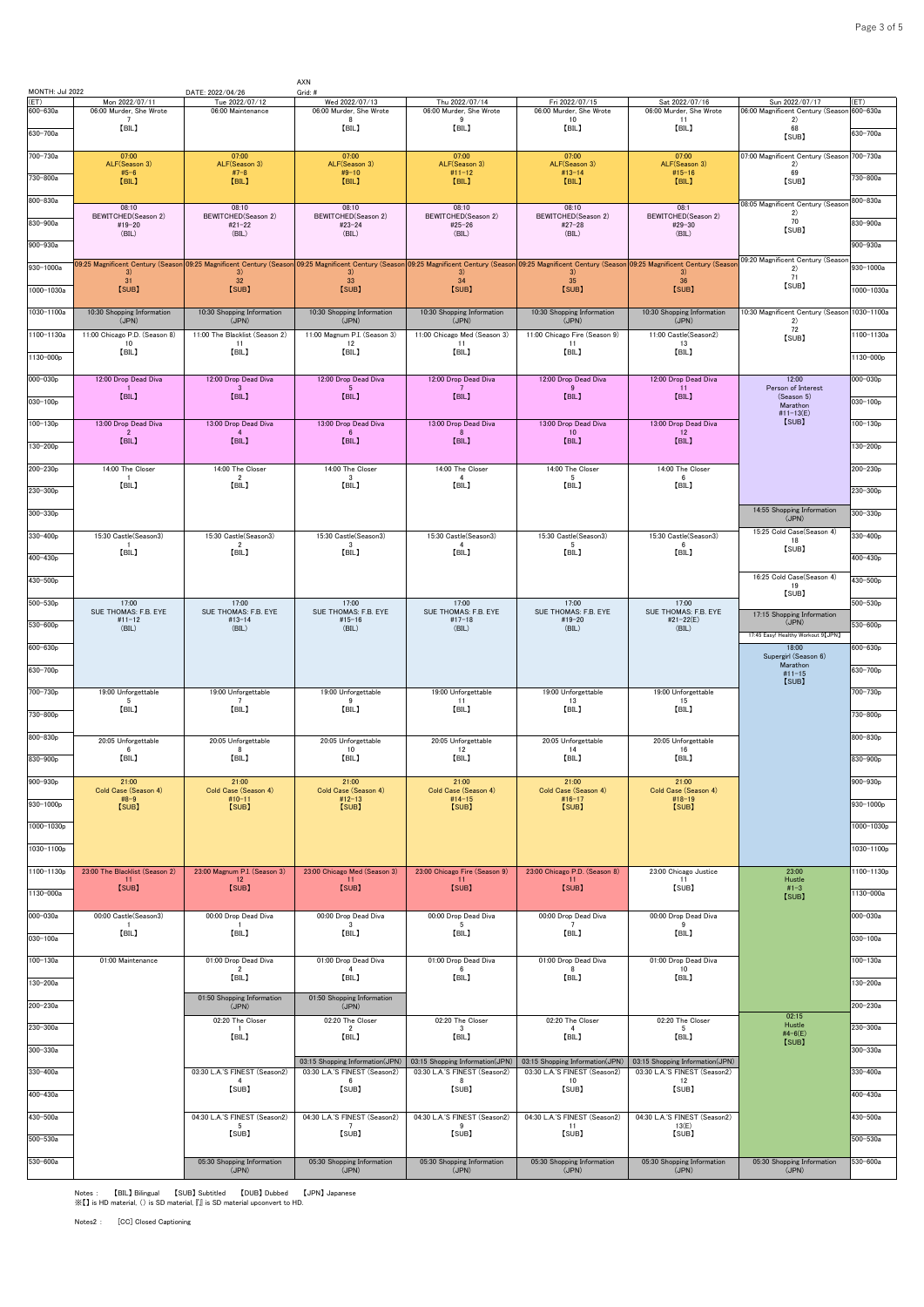| MONTH: Jul 2022  |                                           | DATE: 2022/04/26                                | AXN<br>Grid: #                                                   |                                                                  |                                                                                                                                                                                                                                                  |                                                                  |                                                     |                     |
|------------------|-------------------------------------------|-------------------------------------------------|------------------------------------------------------------------|------------------------------------------------------------------|--------------------------------------------------------------------------------------------------------------------------------------------------------------------------------------------------------------------------------------------------|------------------------------------------------------------------|-----------------------------------------------------|---------------------|
| (ET)<br>600-630a | Mon 2022/07/11<br>06:00 Murder, She Wrote | Tue 2022/07/12<br>06:00 Maintenance             | Wed 2022/07/13<br>06:00 Murder, She Wrote                        | Thu 2022/07/14<br>06:00 Murder, She Wrote                        | Fri 2022/07/15<br>06:00 Murder, She Wrote                                                                                                                                                                                                        | Sat 2022/07/16<br>06:00 Murder, She Wrote                        | Sun 2022/07/17<br>06:00 Magnificent Century (Seasor | ET)<br>$600 - 630a$ |
| 630-700a         | $\overline{7}$<br>[BIL]                   |                                                 | 8<br>[BIL]                                                       | 9<br>[BIL]                                                       | 10<br>[BIL]                                                                                                                                                                                                                                      | 11<br>[BIL]                                                      | 2)<br>68<br>[SUB]                                   | 630-700a            |
| 700-730a         | 07:00<br>ALF(Season 3)                    | 07:00<br>ALF(Season 3)                          | 07:00<br>ALF(Season 3)                                           | 07:00<br>ALF(Season 3)                                           | 07:00<br>ALF(Season 3)                                                                                                                                                                                                                           | 07:00<br>ALF(Season 3)                                           | 07:00 Magnificent Century (Seasor<br>2)             | 700-730a            |
| 730-800a         | $#5 - 6$<br>[BIL]                         | $#7-8$<br>[BIL]                                 | $#9-10$<br>[BIL]                                                 | $#11 - 12$<br>[BIL]                                              | $#13 - 14$<br>[BIL]                                                                                                                                                                                                                              | $#15 - 16$<br>[BIL]                                              | 69<br>[SUB]                                         | 730-800a            |
| 800-830a         |                                           |                                                 |                                                                  |                                                                  |                                                                                                                                                                                                                                                  |                                                                  |                                                     | 800-830a            |
|                  | 08:10<br>BEWITCHED(Season 2)              | 08:10<br>BEWITCHED(Season 2)                    | 08:10<br>BEWITCHED(Season 2)                                     | 08:10<br>BEWITCHED(Season 2)                                     | 08:10<br>BEWITCHED(Season 2)                                                                                                                                                                                                                     | 08:1<br>BEWITCHED(Season 2)                                      | 08:05 Magnificent Century (Seasor<br>2)<br>70       |                     |
| 830-900a         | $#19-20$<br>(BIL)                         | $#21 - 22$<br>(BIL)                             | $#23 - 24$<br>(BIL)                                              | $#25 - 26$<br>(BIL)                                              | $#27 - 28$<br>(BIL)                                                                                                                                                                                                                              | $#29-30$<br>(BIL)                                                | [SUB]                                               | 830-900a            |
| 900-930a         |                                           |                                                 |                                                                  |                                                                  |                                                                                                                                                                                                                                                  |                                                                  |                                                     | $900 - 930a$        |
| 930-1000a        | 3)                                        | 3)                                              | 3)                                                               | 3)                                                               | 09:25 Magnificent Century (Season <mark>09:25 Magnificent Century (Season 09:25 Magnificent Century (Season 09:25 Magnificent Century (Season 09:25 Magnificent Century (Season 09:25 Magnificent Century (Season 09:25 Magnificent</mark><br>3) | 3)                                                               | 09:20 Magnificent Century (Seasor<br>2)<br>71       | 930-1000a           |
| 1000-1030a       | 31<br>[SUB]                               | 32<br>[SUB]                                     | 33<br>[SUB]                                                      | 34<br>[SUB]                                                      | 35<br>[SUB]                                                                                                                                                                                                                                      | 36<br>[SUB]                                                      | [SUB]                                               | 1000-1030a          |
| 1030-1100a       | 10:30 Shopping Information                | 10:30 Shopping Information                      | 10:30 Shopping Information                                       | 10:30 Shopping Information                                       | 10:30 Shopping Information                                                                                                                                                                                                                       | 10:30 Shopping Information                                       | 10:30 Magnificent Century (Seasor                   | 1030-1100a          |
| 1100-1130a       | (JPN)<br>11:00 Chicago P.D. (Season 8)    | (JPN)<br>11:00 The Blacklist (Season 2)         | (JPN)<br>11:00 Magnum P.I. (Season 3)                            | (JPN)<br>11:00 Chicago Med (Season 3)                            | (JPN)<br>11:00 Chicago Fire (Season 9)                                                                                                                                                                                                           | (JPN)<br>11:00 Castle(Season2)                                   | 2)<br>72                                            | 1100-1130a          |
|                  | 10<br>[BIL]                               | 11<br>[BIL]                                     | 12<br>[BIL]                                                      | 11<br>[BIL]                                                      | 11<br>[BIL]                                                                                                                                                                                                                                      | 13<br>[BIL]                                                      | [SUB]                                               |                     |
| 1130-000p        |                                           |                                                 |                                                                  |                                                                  |                                                                                                                                                                                                                                                  |                                                                  |                                                     | 1130-000p           |
| 000-030p         | 12:00 Drop Dead Diva                      | 12:00 Drop Dead Diva<br>-3                      | 12:00 Drop Dead Diva<br>- 5                                      | 12:00 Drop Dead Diva                                             | 12:00 Drop Dead Diva<br>-9                                                                                                                                                                                                                       | 12:00 Drop Dead Diva<br>11                                       | 12:00<br>Person of Interest                         | 000-030p            |
| 030-100p         | [BIL]                                     | [BIL]                                           | [BIL]                                                            | [BIL]                                                            | [BIL]                                                                                                                                                                                                                                            | [BIL]                                                            | (Season 5)<br>Marathon                              | $030 - 100p$        |
| $100 - 130p$     | 13:00 Drop Dead Diva                      | 13:00 Drop Dead Diva                            | 13:00 Drop Dead Diva                                             | 13:00 Drop Dead Diva                                             | 13:00 Drop Dead Diva                                                                                                                                                                                                                             | 13:00 Drop Dead Diva                                             | #11-13(E)<br>[SUB]                                  | $100 - 130p$        |
| 130-200p         | $\overline{2}$<br>[BIL]                   | 4<br>[BIL]                                      | 6.<br>[BIL]                                                      | -8<br>[BIL]                                                      | 10<br>[BIL]                                                                                                                                                                                                                                      | 12 <sup>°</sup><br>[BIL]                                         |                                                     | $130 - 200p$        |
|                  |                                           |                                                 |                                                                  |                                                                  |                                                                                                                                                                                                                                                  |                                                                  |                                                     |                     |
| 200-230p         | 14:00 The Closer<br>[BIL]                 | 14:00 The Closer<br>$\overline{2}$<br>[BIL]     | 14:00 The Closer<br>$\cdot$ <sub>3</sub><br>[BIL]                | 14:00 The Closer<br>$\mathbf{A}$<br>[BIL]                        | 14:00 The Closer<br>5<br>[BIL]                                                                                                                                                                                                                   | 14:00 The Closer<br>6<br>[BIL]                                   |                                                     | $200 - 230p$        |
| 230-300p         |                                           |                                                 |                                                                  |                                                                  |                                                                                                                                                                                                                                                  |                                                                  |                                                     | 230-300p            |
| 300-330p         |                                           |                                                 |                                                                  |                                                                  |                                                                                                                                                                                                                                                  |                                                                  | 14:55 Shopping Information<br>(JPN)                 | $300 - 330p$        |
| 330-400p         | 15:30 Castle(Season3)                     | 15:30 Castle(Season3)                           | 15:30 Castle(Season3)                                            | 15:30 Castle(Season3)                                            | 15:30 Castle(Season3)                                                                                                                                                                                                                            | 15:30 Castle(Season3)                                            | 15:25 Cold Case(Season 4)<br>18                     | 330-400p            |
| 400-430p         | -1<br>[BIL]                               | $\overline{2}$<br>[BIL]                         | $\mathbf{3}$<br>[BIL]                                            | $\overline{4}$<br>[BIL]                                          | -5<br>[BIL]                                                                                                                                                                                                                                      | -6<br>[BIL]                                                      | [SUB]                                               | 400-430p            |
|                  |                                           |                                                 |                                                                  |                                                                  |                                                                                                                                                                                                                                                  |                                                                  | 16:25 Cold Case(Season 4)                           |                     |
| 430-500p         |                                           |                                                 |                                                                  |                                                                  |                                                                                                                                                                                                                                                  |                                                                  | 19<br>[SUB]                                         | 430-500p            |
| 500-530p         | 17:00<br>SUE THOMAS: F.B. EYE             | 17:00<br>SUE THOMAS: F.B. EYE                   | 17:00<br>SUE THOMAS: F.B. EYE                                    | 17:00<br>SUE THOMAS: F.B. EYE                                    | 17:00<br>SUE THOMAS: F.B. EYE                                                                                                                                                                                                                    | 17:00<br>SUE THOMAS: F.B. EYE                                    | 17:15 Shopping Information                          | 500-530p            |
| $530 - 600p$     | $#11 - 12$<br>(BIL)                       | $#13 - 14$<br>(BIL)                             | $#15 - 16$<br>(BIL)                                              | $#17 - 18$<br>(BIL)                                              | $#19-20$<br>(BIL)                                                                                                                                                                                                                                | #21-22(E)<br>(BIL)                                               | (JPN)<br>17:45 Easy! Healthy Workout 9 [JPN]        | 530-600p            |
| 600-630p         |                                           |                                                 |                                                                  |                                                                  |                                                                                                                                                                                                                                                  |                                                                  | 18:00                                               | 600-630p            |
| 630-700p         |                                           |                                                 |                                                                  |                                                                  |                                                                                                                                                                                                                                                  |                                                                  | Supergirl (Season 6)<br>Marathon<br>$#11 - 15$      | 630-700p            |
| 700-730p         | 19:00 Unforgettable                       | 19:00 Unforgettable                             | 19:00 Unforgettable                                              | 19:00 Unforgettable                                              | 19:00 Unforgettable                                                                                                                                                                                                                              | 19:00 Unforgettable                                              | [SUB]                                               | 700-730p            |
|                  | -5<br>[BIL]                               | $\overline{7}$<br>[BIL]                         | 9<br>【BIL】                                                       | -11<br>[BIL]                                                     | 13<br>[BIL]                                                                                                                                                                                                                                      | 15<br>[BIL]                                                      |                                                     |                     |
| 730-800p         |                                           |                                                 |                                                                  |                                                                  |                                                                                                                                                                                                                                                  |                                                                  |                                                     | 730-800p            |
| 800-830p         | 20:05 Unforgettable<br>6                  | 20:05 Unforgettable<br>- 8                      | 20:05 Unforgettable<br>10                                        | 20:05 Unforgettable<br>12                                        | 20:05 Unforgettable<br>14                                                                                                                                                                                                                        | 20:05 Unforgettable<br>16                                        |                                                     | $800 - 830p$        |
| 830-900p         | [BIL]                                     | [BIL]                                           | [BIL]                                                            | [BIL]                                                            | [BIL]                                                                                                                                                                                                                                            | [BIL]                                                            |                                                     | 830-900p            |
| 900-930p         | 21:00                                     | 21:00                                           | 21:00                                                            | 21:00                                                            | 21:00                                                                                                                                                                                                                                            | 21:00                                                            |                                                     | $900 - 930p$        |
| 930-1000p        | Cold Case (Season 4)<br>$#8-9$<br>[SUB]   | Cold Case (Season 4)<br>$#10-11$<br>[SUB]       | Cold Case (Season 4)<br>$#12 - 13$<br>[SUB]                      | Cold Case (Season 4)<br>$#14 - 15$<br>[SUB]                      | Cold Case (Season 4)<br>$#16 - 17$<br>[SUB]                                                                                                                                                                                                      | Cold Case (Season 4)<br>$#18-19$<br>[SUB]                        |                                                     | 930-1000p           |
| 1000-1030p       |                                           |                                                 |                                                                  |                                                                  |                                                                                                                                                                                                                                                  |                                                                  |                                                     | 1000-1030p          |
|                  |                                           |                                                 |                                                                  |                                                                  |                                                                                                                                                                                                                                                  |                                                                  |                                                     |                     |
| 1030-1100p       |                                           |                                                 |                                                                  |                                                                  |                                                                                                                                                                                                                                                  |                                                                  |                                                     | 1030-1100p          |
| 1100-1130p       | 23:00 The Blacklist (Season 2)            | 23:00 Magnum P.I. (Season 3)<br>12              | 23:00 Chicago Med (Season 3)<br>11                               | 23:00 Chicago Fire (Season 9)<br>11                              | 23:00 Chicago P.D. (Season 8)<br>11                                                                                                                                                                                                              | 23:00 Chicago Justice<br>11                                      | 23:00<br>Hustle                                     | 1100-1130p          |
| 1130-000a        | $\frac{11}{5}$                            | [SUB]                                           | [SUB]                                                            | [SUB]                                                            | [SUB]                                                                                                                                                                                                                                            | [SUB]                                                            | $#1-3$<br>[SUB]                                     | 1130-000a           |
| 000-030a         | 00:00 Castle(Season3)                     | 00:00 Drop Dead Diva                            | 00:00 Drop Dead Diva                                             | 00:00 Drop Dead Diva                                             | 00:00 Drop Dead Diva                                                                                                                                                                                                                             | 00:00 Drop Dead Diva                                             |                                                     | $000 - 030a$        |
| 030-100a         | [BIL]                                     | [BIL]                                           | 3<br>[BIL]                                                       | [BIL]                                                            | [BIL]                                                                                                                                                                                                                                            | [BIL]                                                            |                                                     | 030-100a            |
|                  |                                           |                                                 |                                                                  |                                                                  |                                                                                                                                                                                                                                                  |                                                                  |                                                     |                     |
| 100-130a         | 01:00 Maintenance                         | 01:00 Drop Dead Diva<br>$\overline{2}$<br>[BIL] | 01:00 Drop Dead Diva<br>$\overline{4}$<br>[BIL]                  | 01:00 Drop Dead Diva<br>6<br>[BIL]                               | 01:00 Drop Dead Diva<br>8<br>[BIL]                                                                                                                                                                                                               | 01:00 Drop Dead Diva<br>10<br>[BIL]                              |                                                     | $100 - 130a$        |
| 130-200a         |                                           |                                                 |                                                                  |                                                                  |                                                                                                                                                                                                                                                  |                                                                  |                                                     | 130-200a            |
| 200-230a         |                                           | 01:50 Shopping Information<br>(JPN)             | 01:50 Shopping Information<br>(JPN)                              |                                                                  |                                                                                                                                                                                                                                                  |                                                                  | 02:15                                               | 200-230a            |
| 230-300a         |                                           | 02:20 The Closer<br>$\overline{1}$              | 02:20 The Closer<br>$\overline{2}$                               | 02:20 The Closer<br>$\mathbf{3}$                                 | 02:20 The Closer<br>$\overline{4}$                                                                                                                                                                                                               | 02:20 The Closer<br>-5                                           | Hustle<br>#4-6(E)                                   | 230-300a            |
| 300-330a         |                                           | [BIL]                                           | [BIL]                                                            | [BIL]                                                            | [BIL]                                                                                                                                                                                                                                            | [BIL]                                                            | [SUB]                                               | 300-330a            |
| 330-400a         |                                           | 03:30 L.A.'S FINEST (Season2)                   | 03:15 Shopping Information(JPN)<br>03:30 L.A.'S FINEST (Season2) | 03:15 Shopping Information(JPN)<br>03:30 L.A.'S FINEST (Season2) | 03:15 Shopping Information(JPN)<br>03:30 L.A.'S FINEST (Season2)                                                                                                                                                                                 | 03:15 Shopping Information(JPN)<br>03:30 L.A.'S FINEST (Season2) |                                                     | 330-400a            |
|                  |                                           | 4<br>[SUB]                                      | 6<br>[SUB]                                                       | 8<br>[SUB]                                                       | 10<br>[SUB]                                                                                                                                                                                                                                      | 12<br>[SUB]                                                      |                                                     |                     |
| 400-430a         |                                           |                                                 |                                                                  |                                                                  |                                                                                                                                                                                                                                                  |                                                                  |                                                     | 400-430a            |
| 430-500a         |                                           | 04:30 L.A.'S FINEST (Season2)<br>- 5            | 04:30 L.A.'S FINEST (Season2)<br>7                               | 04:30 L.A.'S FINEST (Season2)<br>9                               | 04:30 L.A.'S FINEST (Season2)<br>11                                                                                                                                                                                                              | 04:30 L.A.'S FINEST (Season2)<br>13(E)                           |                                                     | 430-500a            |
| 500-530a         |                                           | [SUB]                                           | [SUB]                                                            | [SUB]                                                            | [SUB]                                                                                                                                                                                                                                            | [SUB]                                                            |                                                     | $500 - 530a$        |
| $530 - 600a$     |                                           | 05:30 Shopping Information                      | 05:30 Shopping Information                                       | 05:30 Shopping Information                                       | 05:30 Shopping Information                                                                                                                                                                                                                       | 05:30 Shopping Information                                       | 05:30 Shopping Information                          | 530-600a            |
|                  |                                           | (JPN)                                           | (JPN)                                                            | (JPN)                                                            | (JPN)                                                                                                                                                                                                                                            | (JPN)                                                            | (JPN)                                               |                     |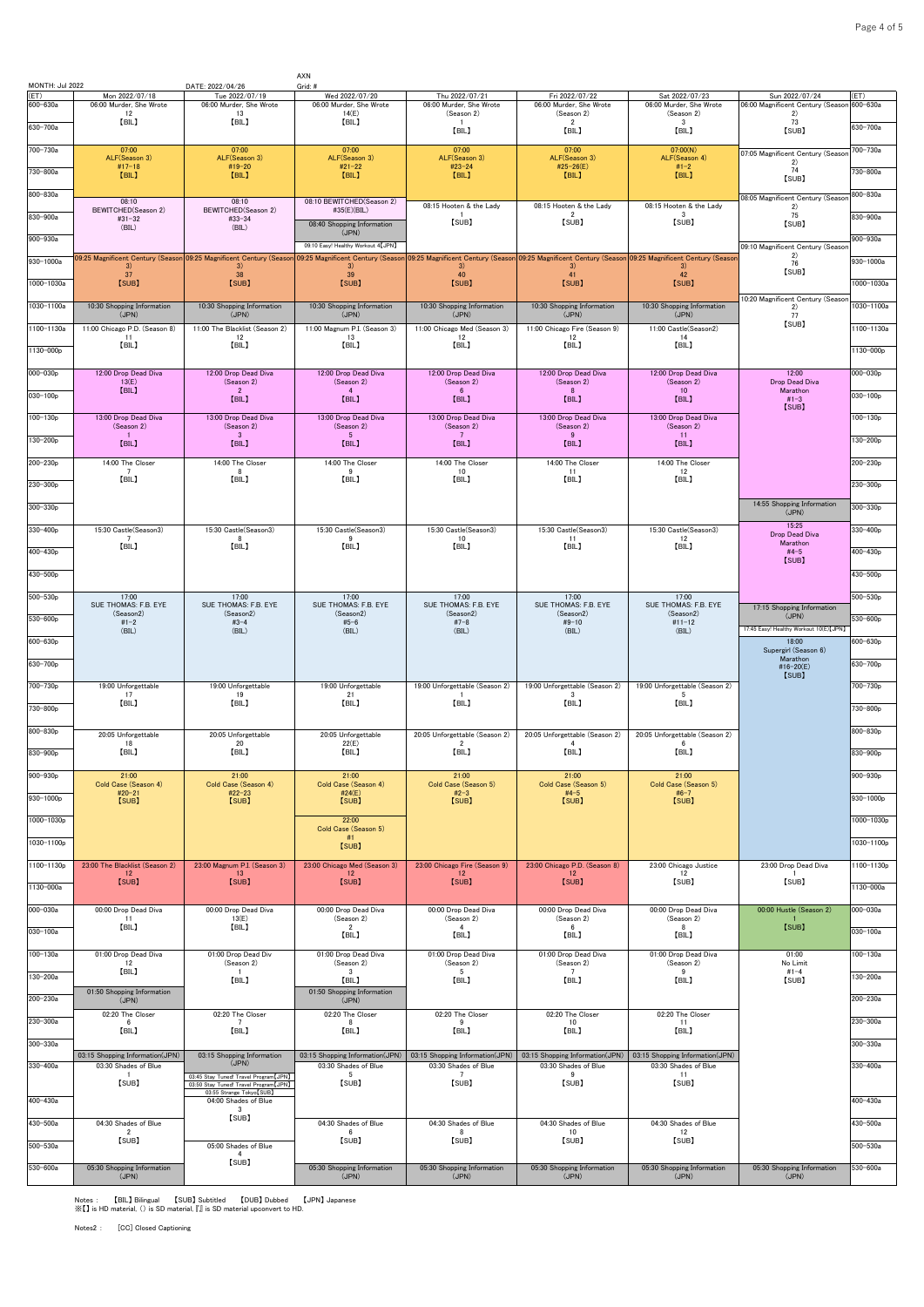| MONTH: Jul 2022  |                                                            | DATE: 2022/04/26                                                                 | AXN<br>Grid: #                                           |                                                         |                                                                                                                                               |                                                         |                                                     |                      |
|------------------|------------------------------------------------------------|----------------------------------------------------------------------------------|----------------------------------------------------------|---------------------------------------------------------|-----------------------------------------------------------------------------------------------------------------------------------------------|---------------------------------------------------------|-----------------------------------------------------|----------------------|
| (ET)<br>600-630a | Mon 2022/07/18<br>06:00 Murder, She Wrote                  | Tue 2022/07/19<br>06:00 Murder, She Wrote                                        | Wed 2022/07/20<br>06:00 Murder, She Wrote                | Thu 2022/07/21<br>06:00 Murder, She Wrote               | Fri 2022/07/22<br>06:00 Murder, She Wrote                                                                                                     | Sat 2022/07/23<br>06:00 Murder, She Wrote               | Sun 2022/07/24<br>06:00 Magnificent Century (Seasor | (ET)<br>$600 - 630a$ |
| 630-700a         | 12<br>[BIL]                                                | 13<br>[BIL]                                                                      | 14(E)<br>[BIL]                                           | (Season 2)<br>[BIL]                                     | (Season 2)<br>$\overline{2}$<br>[BIL]                                                                                                         | (Season 2)<br>$\cdot$ <sub>3</sub><br>[BIL]             | 2)<br>73<br>[SUB]                                   | 630-700a             |
| 700-730a         | 07:00                                                      | 07:00                                                                            | 07:00                                                    | 07:00                                                   | 07:00                                                                                                                                         | 07:00(N)                                                |                                                     | 700-730a             |
|                  | ALF(Season 3)<br>$#17-18$                                  | ALF(Season 3)<br>#19-20                                                          | ALF(Season 3)<br>$#21 - 22$                              | ALF(Season 3)<br>#23-24                                 | ALF(Season 3)<br>#25-26(E)                                                                                                                    | ALF(Season 4)<br>$#1 - 2$                               | 07:05 Magnificent Century (Seasor<br>2)<br>74       |                      |
| 730-800a         | [BIL]                                                      | [BIL]                                                                            | [BIL]                                                    | [BIL]                                                   | [BIL]                                                                                                                                         | [BIL]                                                   | [SUB]                                               | 730-800a             |
| 800-830a         | 08:10<br>BEWITCHED(Season 2)                               | 08:10<br>BEWITCHED(Season 2)                                                     | 08:10 BEWITCHED(Season 2)<br>#35(E)(BIL)                 | 08:15 Hooten & the Lady                                 | 08:15 Hooten & the Lady                                                                                                                       | 08:15 Hooten & the Lady                                 | 08:05 Magnificent Century (Seasor<br>2)             | $800 - 830a$         |
| 830-900a         | #31-32<br>(BIL)                                            | #33-34<br>(BIL)                                                                  | 08:40 Shopping Information                               | -1<br>[SUB]                                             | $\overline{2}$<br>[SUB]                                                                                                                       | 3<br>[SUB]                                              | 75<br>[SUB]                                         | 830-900a             |
| 900-930a         |                                                            |                                                                                  | (JPN)<br>09:10 Easy! Healthy Workout 4 [JPN]             |                                                         |                                                                                                                                               |                                                         | 09:10 Magnificent Century (Seasor                   | 900-930a             |
| $930 - 1000a$    | 3)                                                         | 09:25 Magnificent Century (Season 09:25 Magnificent Century (Season<br>-3)       | 3)                                                       | 3)                                                      | 09:25 Magnificent Century (Season 09:25 Magnificent Century (Season 09:25 Magnificent Century (Season 09:25 Magnificent Century (Seasor<br>3) | 3 <sup>1</sup>                                          | 2)<br>76<br>[SUB]                                   | 930-1000a            |
| 1000-1030a       | 37<br>[SUB]                                                | 38<br>[SUB]                                                                      | 39<br>[SUB]                                              | 40<br>[SUB]                                             | 41<br>[SUB]                                                                                                                                   | 42<br>[SUB]                                             |                                                     | 1000-1030a           |
| 1030-1100a       | 10:30 Shopping Information                                 | 10:30 Shopping Information                                                       | 10:30 Shopping Information                               | 10:30 Shopping Information                              | 10:30 Shopping Information                                                                                                                    | 10:30 Shopping Information                              | 0:20 Magnificent Century (Seasor<br>2)              | 1030-1100a           |
| 1100-1130a       | (JPN)<br>11:00 Chicago P.D. (Season 8)                     | (JPN)<br>11:00 The Blacklist (Season 2)                                          | (JPN)<br>11:00 Magnum P.I. (Season 3)                    | (JPN)<br>11:00 Chicago Med (Season 3)                   | (JPN)<br>11:00 Chicago Fire (Season 9)                                                                                                        | (JPN)<br>11:00 Castle(Season2)                          | 77<br>[SUB]                                         | 1100-1130a           |
| 1130-000p        | 11<br>[BIL]                                                | 12<br>[BIL]                                                                      | 13<br>[BIL]                                              | 12<br>[BIL]                                             | 12<br>[BIL]                                                                                                                                   | 14<br>[BIL]                                             |                                                     | 1130-000p            |
| 000-030p         | 12:00 Drop Dead Diva                                       | 12:00 Drop Dead Diva                                                             | 12:00 Drop Dead Diva                                     | 12:00 Drop Dead Diva                                    | 12:00 Drop Dead Diva                                                                                                                          | 12:00 Drop Dead Diva                                    | 12:00                                               | 000-030p             |
|                  | 13(E)<br>[BIL]                                             | (Season 2)<br>$\overline{2}$                                                     | (Season 2)<br>$\overline{4}$                             | (Season 2)<br>$6\phantom{.0}$                           | (Season 2)<br>8                                                                                                                               | (Season 2)<br>10 <sup>°</sup>                           | Drop Dead Diva<br>Marathon                          |                      |
| $030 - 100p$     |                                                            | [BIL]                                                                            | [BIL]                                                    | [BIL]                                                   | [BIL]                                                                                                                                         | [BIL]                                                   | $#1 - 3$<br>[SUB]                                   | $030 - 100p$         |
| 100-130p         | 13:00 Drop Dead Diva<br>(Season 2)<br>$\mathbf{1}$         | 13:00 Drop Dead Diva<br>(Season 2)<br>$\overline{\mathbf{3}}$                    | 13:00 Drop Dead Diva<br>(Season 2)<br>$5\phantom{.0}$    | 13:00 Drop Dead Diva<br>(Season 2)<br>$\overline{7}$    | 13:00 Drop Dead Diva<br>(Season 2)<br>-9                                                                                                      | 13:00 Drop Dead Diva<br>(Season 2)<br>11                |                                                     | $100 - 130p$         |
| 130-200p         | [BIL]                                                      | [BIL]                                                                            | [BIL]                                                    | [BIL]                                                   | [BIL]                                                                                                                                         | [BIL]                                                   |                                                     | $130 - 200p$         |
| 200-230p         | 14:00 The Closer<br>$\overline{7}$                         | 14:00 The Closer<br>$\mathbf{R}$                                                 | 14:00 The Closer<br>9                                    | 14:00 The Closer<br>10                                  | 14:00 The Closer<br>11                                                                                                                        | 14:00 The Closer<br>12                                  |                                                     | $200 - 230p$         |
| 230-300p         | [BIL]                                                      | [BIL]                                                                            | [BIL]                                                    | [BIL]                                                   | [BIL]                                                                                                                                         | [BIL]                                                   |                                                     | $230 - 300p$         |
| $300 - 330p$     |                                                            |                                                                                  |                                                          |                                                         |                                                                                                                                               |                                                         | 14:55 Shopping Information<br>(JPN)                 | 300-330p             |
| 330-400p         | 15:30 Castle(Season3)                                      | 15:30 Castle(Season3)                                                            | 15:30 Castle(Season3)                                    | 15:30 Castle(Season3)                                   | 15:30 Castle(Season3)                                                                                                                         | 15:30 Castle(Season3)                                   | 15:25<br>Drop Dead Diva                             | 330-400 <sub>p</sub> |
| 400-430p         | $7\overline{ }$<br>[BIL]                                   | 8<br>[BIL]                                                                       | -9<br>[BIL]                                              | 10<br>[BIL]                                             | 11<br>[BIL]                                                                                                                                   | 12<br>[BIL]                                             | Marathon<br>$#4-5$                                  | 400-430p             |
| 430-500p         |                                                            |                                                                                  |                                                          |                                                         |                                                                                                                                               |                                                         | [SUB]                                               | 430-500p             |
| $500 - 530p$     | 17:00                                                      | 17:00                                                                            | 17:00                                                    | 17:00                                                   | 17:00                                                                                                                                         | 17:00                                                   |                                                     | $500 - 530p$         |
|                  | SUE THOMAS: F.B. EYE<br>(Season2)                          | SUE THOMAS: F.B. EYE<br>(Season2)                                                | SUE THOMAS: F.B. EYE<br>(Season2)                        | SUE THOMAS: F.B. EYE<br>(Season2)                       | SUE THOMAS: F.B. EYE<br>(Season2)                                                                                                             | SUE THOMAS: F.B. EYE<br>(Season2)                       | 17:15 Shopping Information<br>(JPN)                 |                      |
| $530 - 600p$     | $#1 - 2$<br>(BIL)                                          | $#3 - 4$<br>(BIL)                                                                | $#5 - 6$<br>(BIL)                                        | $#7-8$<br>(BIL)                                         | $#9-10$<br>(BIL)                                                                                                                              | $#11 - 12$<br>(BIL)                                     | 17:45 Easy! Healthy Workout 10(E) [JPN]             | 530-600 <sub>p</sub> |
| 600-630p         |                                                            |                                                                                  |                                                          |                                                         |                                                                                                                                               |                                                         | 18:00<br>Supergirl (Season 6)<br>Marathon           | 600-630p             |
| 630-700p         |                                                            |                                                                                  |                                                          |                                                         |                                                                                                                                               |                                                         | #16-20(E)<br>[SUB]                                  | 630-700p             |
| 700-730p         | 19:00 Unforgettable<br>17                                  | 19:00 Unforgettable<br>19                                                        | 19:00 Unforgettable<br>21                                | 19:00 Unforgettable (Season 2)                          | 19:00 Unforgettable (Season 2)<br>$\cdot$ 3                                                                                                   | 19:00 Unforgettable (Season 2)<br>-5                    |                                                     | 700-730p             |
| 730-800p         | [BIL]                                                      | [BIL]                                                                            | [BIL]                                                    | [BIL]                                                   | [BIL]                                                                                                                                         | [BIL]                                                   |                                                     | 730-800p             |
| 800-830p         | 20:05 Unforgettable                                        | 20:05 Unforgettable                                                              | 20:05 Unforgettable                                      | 20:05 Unforgettable (Season 2)                          | 20:05 Unforgettable (Season 2)                                                                                                                | 20:05 Unforgettable (Season 2)                          |                                                     | 800-830p             |
| 830-900p         | 18<br>[BIL]                                                | 20<br>【BIL】                                                                      | 22(E)<br>[BIL]                                           | $\overline{2}$<br>[BIL]                                 | $\overline{4}$<br>[BIL]                                                                                                                       | 6<br>[BIL]                                              |                                                     | 830-900p             |
| 900-930p         | 21:00                                                      | 21:00                                                                            | 21:00                                                    | 21:00                                                   | 21:00                                                                                                                                         | 21:00                                                   |                                                     | 900-930p             |
| 930-1000p        | Cold Case (Season 4)<br>$#20 - 21$<br>[SUB]                | Cold Case (Season 4)<br>$#22 - 23$<br>[SUB]                                      | Cold Case (Season 4)<br>#24 $(E)$<br>[SUB]               | Cold Case (Season 5)<br>$#2-3$<br>[SUB]                 | Cold Case (Season 5)<br>$#4 - 5$<br>[SUB]                                                                                                     | Cold Case (Season 5)<br>$#6-7$<br>[SUB]                 |                                                     | 930-1000p            |
| 1000-1030p       |                                                            |                                                                                  | 22:00                                                    |                                                         |                                                                                                                                               |                                                         |                                                     | 1000-1030p           |
| 1030-1100p       |                                                            |                                                                                  | Cold Case (Season 5)<br>#1                               |                                                         |                                                                                                                                               |                                                         |                                                     | 1030-1100p           |
|                  |                                                            |                                                                                  | [SUB]                                                    |                                                         |                                                                                                                                               |                                                         |                                                     |                      |
| 1100-1130p       | 23:00 The Blacklist (Season 2)<br>12 <sup>2</sup><br>[SUB] | 23:00 Magnum P.I. (Season 3)<br>13<br>[SUB]                                      | 23:00 Chicago Med (Season 3)<br>12 <sup>2</sup><br>[SUB] | 23:00 Chicago Fire (Season 9)<br>12<br>[SUB]            | 23:00 Chicago P.D. (Season 8)<br>12<br>[SUB]                                                                                                  | 23:00 Chicago Justice<br>12<br>[SUB]                    | 23:00 Drop Dead Diva<br>$\overline{1}$<br>[SUB]     | 1100-1130p           |
| 1130-000a        |                                                            |                                                                                  |                                                          |                                                         |                                                                                                                                               |                                                         |                                                     | 1130-000a            |
| 000-030a         | 00:00 Drop Dead Diva<br>-11                                | 00:00 Drop Dead Diva<br>13(E)                                                    | 00:00 Drop Dead Diva<br>(Season 2)                       | 00:00 Drop Dead Diva<br>(Season 2)                      | 00:00 Drop Dead Diva<br>(Season 2)                                                                                                            | 00:00 Drop Dead Diva<br>(Season 2)                      | 00:00 Hustle (Season 2)<br>$\mathbf{1}$             | 000-030a             |
| $030 - 100a$     | [BIL]                                                      | 【BIL】                                                                            | $\overline{2}$<br>[BIL]                                  | $\overline{4}$<br>[BIL]                                 | 6<br>[BIL]                                                                                                                                    | 8<br>[BIL]                                              | [SUB]                                               | 030-100a             |
| $100 - 130a$     | 01:00 Drop Dead Diva<br>12                                 | 01:00 Drop Dead Div<br>(Season 2)                                                | 01:00 Drop Dead Diva<br>(Season 2)                       | 01:00 Drop Dead Diva<br>(Season 2)                      | 01:00 Drop Dead Diva<br>(Season 2)                                                                                                            | 01:00 Drop Dead Diva<br>(Season 2)                      | 01:00<br>No Limit                                   | $100 - 130a$         |
| 130-200a         | 【BIL】                                                      | $\overline{1}$<br>[BIL]                                                          | $\cdot$ 3<br>[BIL]                                       | 5<br>[BIL]                                              | $\overline{7}$<br>[BIL]                                                                                                                       | -9<br>[BIL]                                             | $#1 - 4$<br>[SUB]                                   | 130-200a             |
| 200-230a         | 01:50 Shopping Information<br>(JPN)                        |                                                                                  | 01:50 Shopping Information<br>(JPN)                      |                                                         |                                                                                                                                               |                                                         |                                                     | 200-230a             |
| 230-300a         | 02:20 The Closer<br>6                                      | 02:20 The Closer<br>$\overline{7}$                                               | 02:20 The Closer<br>8                                    | 02:20 The Closer<br>-9                                  | 02:20 The Closer<br>10                                                                                                                        | 02:20 The Closer<br>11                                  |                                                     | 230-300a             |
| 300-330a         | [BIL]                                                      | [BIL]                                                                            | [BIL]                                                    | [BIL]                                                   | [BIL]                                                                                                                                         | [BIL]                                                   |                                                     | 300-330a             |
| 330-400a         | 03:15 Shopping Information(JPN)<br>03:30 Shades of Blue    | 03:15 Shopping Information<br>(JPN)                                              | 03:15 Shopping Information(JPN)<br>03:30 Shades of Blue  | 03:15 Shopping Information(JPN)<br>03:30 Shades of Blue | 03:15 Shopping Information(JPN)<br>03:30 Shades of Blue                                                                                       | 03:15 Shopping Information(JPN)<br>03:30 Shades of Blue |                                                     | 330-400a             |
|                  | $\mathbf{1}$<br>[SUB]                                      | 03:45 Stay Tuned! Travel Program [JPN]<br>03:50 Stay Tuned! Travel Program [JPN] | 5<br>[SUB]                                               | 7<br>[SUB]                                              | -9<br>[SUB]                                                                                                                                   | 11<br>[SUB]                                             |                                                     |                      |
| 400-430a         |                                                            | 03:55 Strange Tokyo [SUB]<br>04:00 Shades of Blue                                |                                                          |                                                         |                                                                                                                                               |                                                         |                                                     | 400-430a             |
| 430-500a         | 04:30 Shades of Blue                                       | 3<br>[SUB]                                                                       | 04:30 Shades of Blue                                     | 04:30 Shades of Blue                                    | 04:30 Shades of Blue                                                                                                                          | 04:30 Shades of Blue                                    |                                                     | 430-500a             |
| 500-530a         | $\overline{2}$<br>[SUB]                                    | 05:00 Shades of Blue                                                             | 6<br>[SUB]                                               | -8<br>[SUB]                                             | 10<br>[SUB]                                                                                                                                   | 12<br>[SUB]                                             |                                                     | $500 - 530a$         |
| 530-600a         | 05:30 Shopping Information                                 | $\overline{4}$<br>[SUB]                                                          | 05:30 Shopping Information                               | 05:30 Shopping Information                              | 05:30 Shopping Information                                                                                                                    | 05:30 Shopping Information                              | 05:30 Shopping Information                          | 530-600a             |
|                  | (JPN)                                                      |                                                                                  | (JPN)                                                    | (JPN)                                                   | (JPN)                                                                                                                                         | (JPN)                                                   | (JPN)                                               |                      |